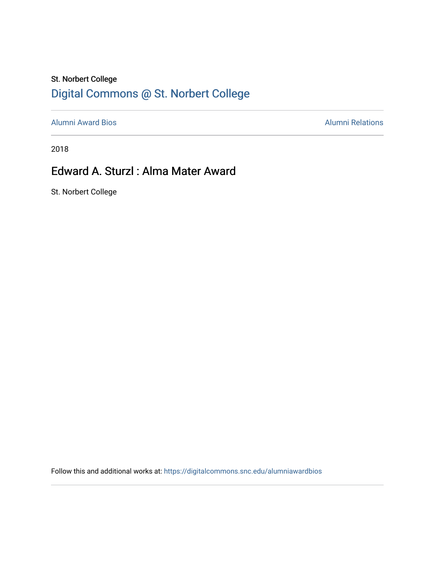### St. Norbert College [Digital Commons @ St. Norbert College](https://digitalcommons.snc.edu/)

[Alumni Award Bios](https://digitalcommons.snc.edu/alumniawardbios) **Alumni Relations** Alumni Relations

2018

## Edward A. Sturzl : Alma Mater Award

St. Norbert College

Follow this and additional works at: [https://digitalcommons.snc.edu/alumniawardbios](https://digitalcommons.snc.edu/alumniawardbios?utm_source=digitalcommons.snc.edu%2Falumniawardbios%2F68&utm_medium=PDF&utm_campaign=PDFCoverPages)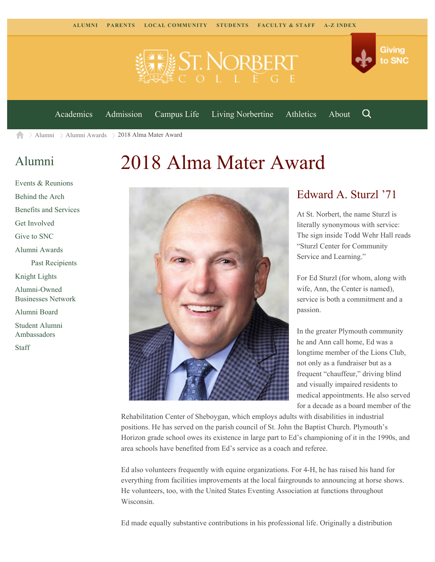



[Academics](https://www.snc.edu/academics) [Admission](https://www.snc.edu/admission) [Campus Life](https://www.snc.edu/campuslife) [Living Norbertine](https://www.snc.edu/livingnorbertine) [Athletics](https://www.snc.edu/athletics) [About](https://www.snc.edu/about)

Q

[Alumni](https://www.snc.edu/alumni/) [Alumni Awards](https://www.snc.edu/alumni/awards/) > 2018 Alma Mater Award A

#### [Alumni](https://www.snc.edu/alumni/index.html)

# 2018 Alma Mater Award





#### Edward A. Sturzl '71

At St. Norbert, the name Sturzl is literally synonymous with service: The sign inside Todd Wehr Hall reads "Sturzl Center for Community Service and Learning."

For Ed Sturzl (for whom, along with wife, Ann, the Center is named), service is both a commitment and a passion.

In the greater Plymouth community he and Ann call home, Ed was a longtime member of the Lions Club, not only as a fundraiser but as a frequent "chauffeur," driving blind and visually impaired residents to medical appointments. He also served for a decade as a board member of the

Rehabilitation Center of Sheboygan, which employs adults with disabilities in industrial positions. He has served on the parish council of St. John the Baptist Church. Plymouth's Horizon grade school owes its existence in large part to Ed's championing of it in the 1990s, and area schools have benefited from Ed's service as a coach and referee.

Ed also volunteers frequently with equine organizations. For 4-H, he has raised his hand for everything from facilities improvements at the local fairgrounds to announcing at horse shows. He volunteers, too, with the United States Eventing Association at functions throughout Wisconsin.

Ed made equally substantive contributions in his professional life. Originally a distribution